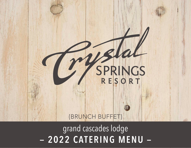# SPRINGS {BRUNCH BUFFET}

– 2022 CATERING MENU – grand cascades lodge